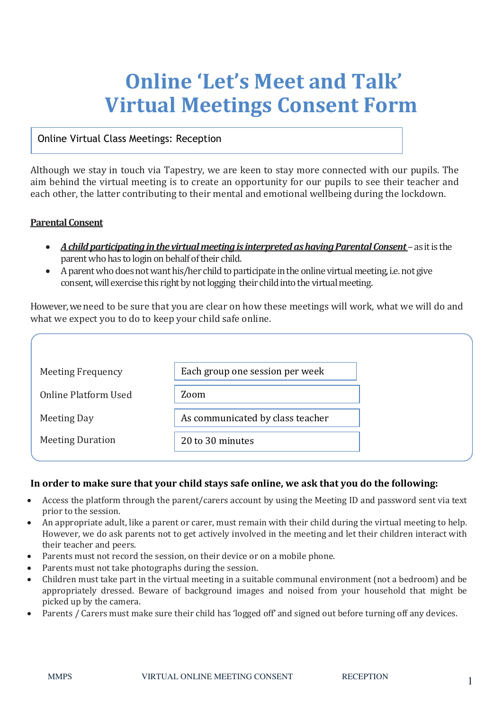## **Online 'Let's Meet and Talk' Virtual Meetings Consent Form**

## Online Virtual Class Meetings: Reception

Although we stay in touch via Tapestry, we are keen to stay more connected with our pupils. The aim behind the virtual meeting is to create an opportunity for our pupils to see their teacher and each other, the latter contributing to their mental and emotional wellbeing during the lockdown.

## **Parental Consent**

- A child participating in the virtual meeting is interpreted as having Parental Consent as it is the parent who has to login on behalf of their child.
- A parent who does not want his/her child to participate in the online virtual meeting, i.e. not give consent, will exercise this right by not logging their child into the virtual meeting.

However, we need to be sure that you are clear on how these meetings will work, what we will do and what we expect you to do to keep your child safe online.

| Each group one session per week<br><b>Meeting Frequency</b><br>Online Platform Used<br>Zoom<br>As communicated by class teacher<br>Meeting Day<br><b>Meeting Duration</b><br>20 to 30 minutes |  |
|-----------------------------------------------------------------------------------------------------------------------------------------------------------------------------------------------|--|
|                                                                                                                                                                                               |  |
|                                                                                                                                                                                               |  |
|                                                                                                                                                                                               |  |
|                                                                                                                                                                                               |  |

## **In order to make sure that your child stays safe online, we ask that you do the following:**

- Access the platform through the parent/carers account by using the Meeting ID and password sent via text prior to the session.
- An appropriate adult, like a parent or carer, must remain with their child during the virtual meeting to help. However, we do ask parents not to get actively involved in the meeting and let their children interact with their teacher and peers.
- Parents must not record the session, on their device or on a mobile phone.
- Parents must not take photographs during the session.
- Children must take part in the virtual meeting in a suitable communal environment (not a bedroom) and be appropriately dressed. Beware of background images and noised from your household that might be picked up by the camera.
- Parents / Carers must make sure their child has 'logged off' and signed out before turning off any devices.